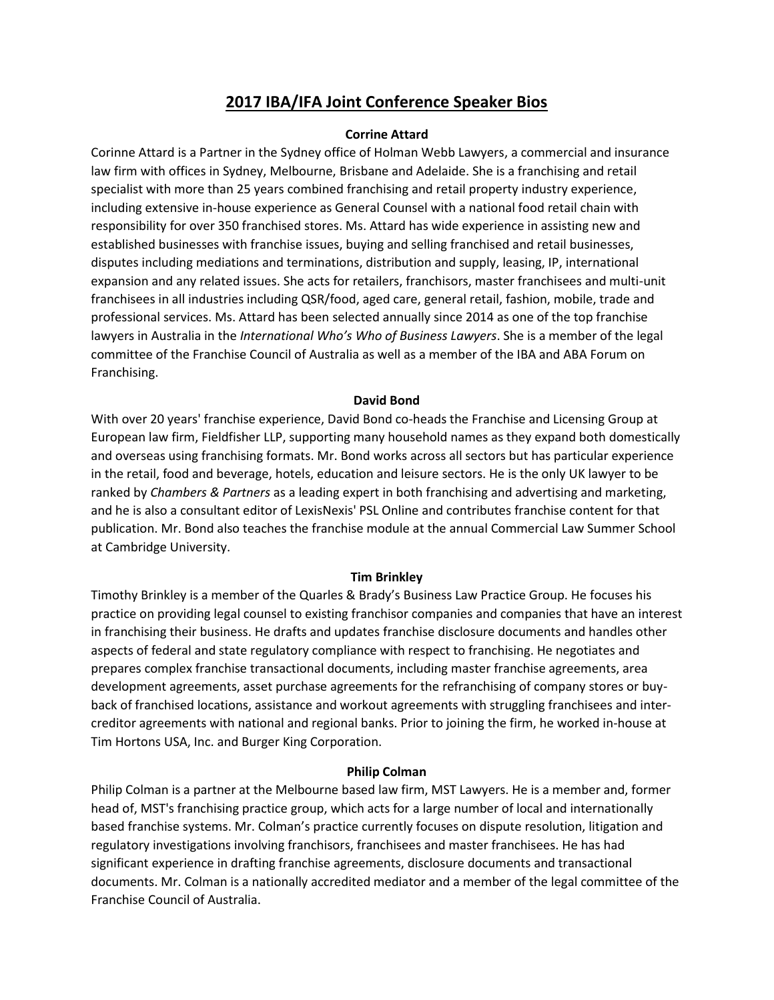# **2017 IBA/IFA Joint Conference Speaker Bios**

## **Corrine Attard**

Corinne Attard is a Partner in the Sydney office of Holman Webb Lawyers, a commercial and insurance law firm with offices in Sydney, Melbourne, Brisbane and Adelaide. She is a franchising and retail specialist with more than 25 years combined franchising and retail property industry experience, including extensive in-house experience as General Counsel with a national food retail chain with responsibility for over 350 franchised stores. Ms. Attard has wide experience in assisting new and established businesses with franchise issues, buying and selling franchised and retail businesses, disputes including mediations and terminations, distribution and supply, leasing, IP, international expansion and any related issues. She acts for retailers, franchisors, master franchisees and multi-unit franchisees in all industries including QSR/food, aged care, general retail, fashion, mobile, trade and professional services. Ms. Attard has been selected annually since 2014 as one of the top franchise lawyers in Australia in the *International Who's Who of Business Lawyers*. She is a member of the legal committee of the Franchise Council of Australia as well as a member of the IBA and ABA Forum on Franchising.

## **David Bond**

With over 20 years' franchise experience, David Bond co-heads the Franchise and Licensing Group at European law firm, Fieldfisher LLP, supporting many household names as they expand both domestically and overseas using franchising formats. Mr. Bond works across all sectors but has particular experience in the retail, food and beverage, hotels, education and leisure sectors. He is the only UK lawyer to be ranked by *Chambers & Partners* as a leading expert in both franchising and advertising and marketing, and he is also a consultant editor of LexisNexis' PSL Online and contributes franchise content for that publication. Mr. Bond also teaches the franchise module at the annual Commercial Law Summer School at Cambridge University.

## **Tim Brinkley**

Timothy Brinkley is a member of the Quarles & Brady's Business Law Practice Group. He focuses his practice on providing legal counsel to existing franchisor companies and companies that have an interest in franchising their business. He drafts and updates franchise disclosure documents and handles other aspects of federal and state regulatory compliance with respect to franchising. He negotiates and prepares complex franchise transactional documents, including master franchise agreements, area development agreements, asset purchase agreements for the refranchising of company stores or buyback of franchised locations, assistance and workout agreements with struggling franchisees and intercreditor agreements with national and regional banks. Prior to joining the firm, he worked in-house at Tim Hortons USA, Inc. and Burger King Corporation.

## **Philip Colman**

Philip Colman is a partner at the Melbourne based law firm, MST Lawyers. He is a member and, former head of, MST's franchising practice group, which acts for a large number of local and internationally based franchise systems. Mr. Colman's practice currently focuses on dispute resolution, litigation and regulatory investigations involving franchisors, franchisees and master franchisees. He has had significant experience in drafting franchise agreements, disclosure documents and transactional documents. Mr. Colman is a nationally accredited mediator and a member of the legal committee of the Franchise Council of Australia.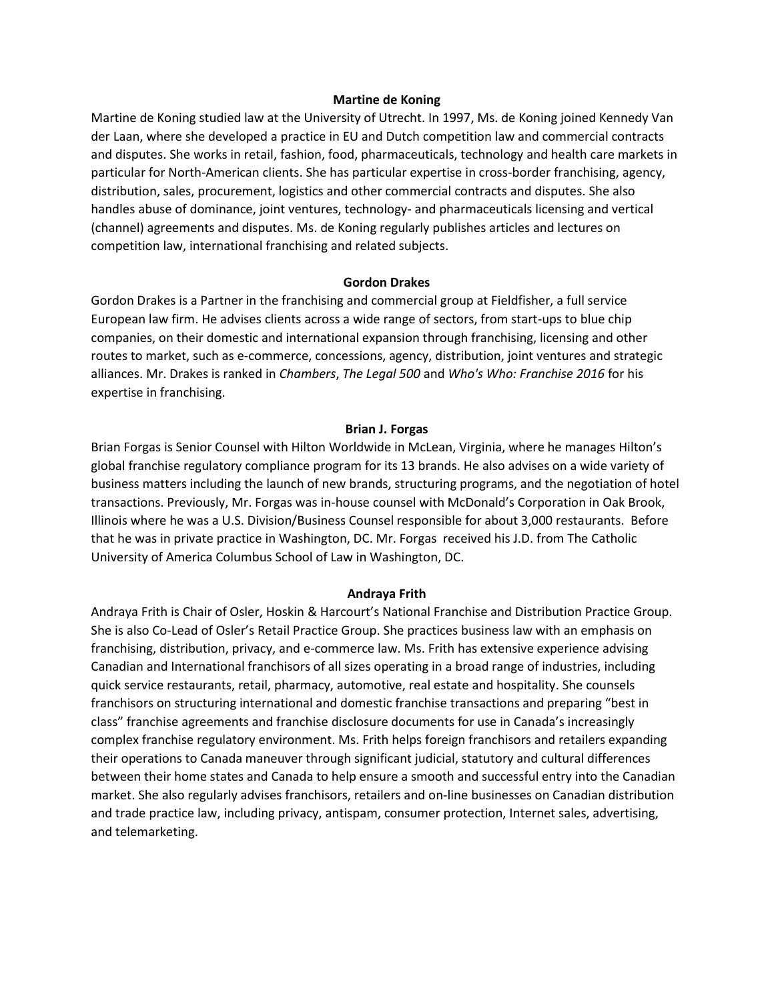## **Martine de Koning**

Martine de Koning studied law at the University of Utrecht. In 1997, Ms. de Koning joined Kennedy Van der Laan, where she developed a practice in EU and Dutch competition law and commercial contracts and disputes. She works in retail, fashion, food, pharmaceuticals, technology and health care markets in particular for North-American clients. She has particular expertise in cross-border franchising, agency, distribution, sales, procurement, logistics and other commercial contracts and disputes. She also handles abuse of dominance, joint ventures, technology- and pharmaceuticals licensing and vertical (channel) agreements and disputes. Ms. de Koning regularly publishes articles and lectures on competition law, international franchising and related subjects.

#### **Gordon Drakes**

Gordon Drakes is a Partner in the franchising and commercial group at Fieldfisher, a full service European law firm. He advises clients across a wide range of sectors, from start-ups to blue chip companies, on their domestic and international expansion through franchising, licensing and other routes to market, such as e-commerce, concessions, agency, distribution, joint ventures and strategic alliances. Mr. Drakes is ranked in *Chambers*, *The Legal 500* and *Who's Who: Franchise 2016* for his expertise in franchising.

### **Brian J. Forgas**

Brian Forgas is Senior Counsel with Hilton Worldwide in McLean, Virginia, where he manages Hilton's global franchise regulatory compliance program for its 13 brands. He also advises on a wide variety of business matters including the launch of new brands, structuring programs, and the negotiation of hotel transactions. Previously, Mr. Forgas was in-house counsel with McDonald's Corporation in Oak Brook, Illinois where he was a U.S. Division/Business Counsel responsible for about 3,000 restaurants. Before that he was in private practice in Washington, DC. Mr. Forgas received his J.D. from The Catholic University of America Columbus School of Law in Washington, DC.

#### **Andraya Frith**

Andraya Frith is Chair of Osler, Hoskin & Harcourt's National Franchise and Distribution Practice Group. She is also Co-Lead of Osler's Retail Practice Group. She practices business law with an emphasis on franchising, distribution, privacy, and e-commerce law. Ms. Frith has extensive experience advising Canadian and International franchisors of all sizes operating in a broad range of industries, including quick service restaurants, retail, pharmacy, automotive, real estate and hospitality. She counsels franchisors on structuring international and domestic franchise transactions and preparing "best in class" franchise agreements and franchise disclosure documents for use in Canada's increasingly complex franchise regulatory environment. Ms. Frith helps foreign franchisors and retailers expanding their operations to Canada maneuver through significant judicial, statutory and cultural differences between their home states and Canada to help ensure a smooth and successful entry into the Canadian market. She also regularly advises franchisors, retailers and on-line businesses on Canadian distribution and trade practice law, including privacy, antispam, consumer protection, Internet sales, advertising, and telemarketing.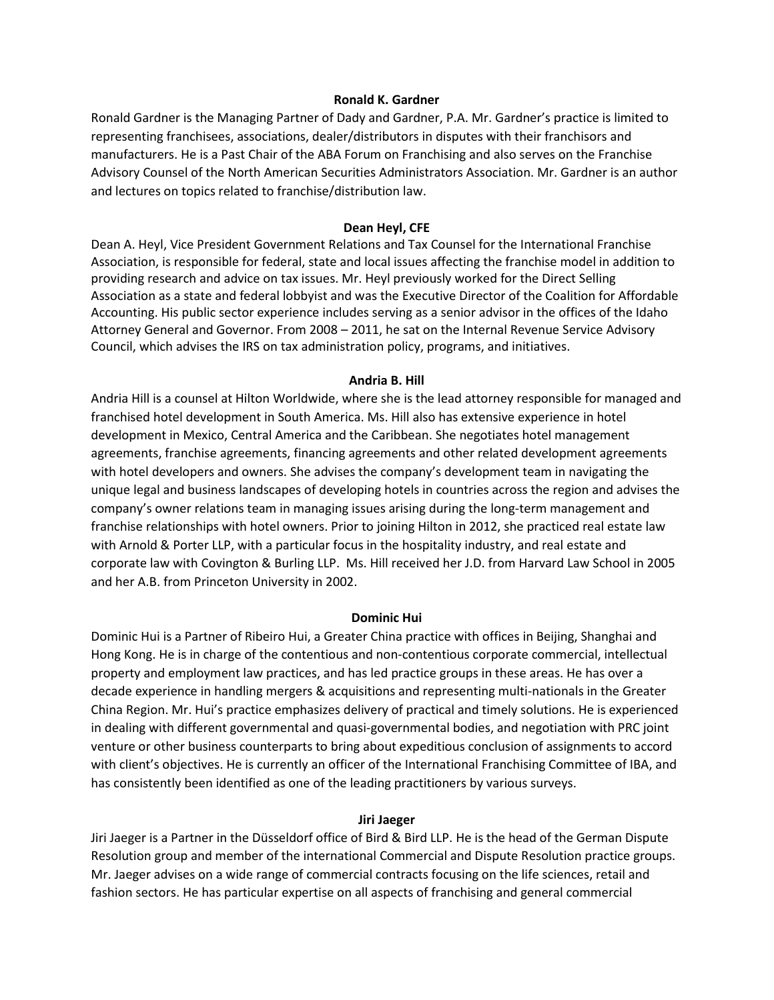## **Ronald K. Gardner**

Ronald Gardner is the Managing Partner of Dady and Gardner, P.A. Mr. Gardner's practice is limited to representing franchisees, associations, dealer/distributors in disputes with their franchisors and manufacturers. He is a Past Chair of the ABA Forum on Franchising and also serves on the Franchise Advisory Counsel of the North American Securities Administrators Association. Mr. Gardner is an author and lectures on topics related to franchise/distribution law.

## **Dean Heyl, CFE**

Dean A. Heyl, Vice President Government Relations and Tax Counsel for the International Franchise Association, is responsible for federal, state and local issues affecting the franchise model in addition to providing research and advice on tax issues. Mr. Heyl previously worked for the Direct Selling Association as a state and federal lobbyist and was the Executive Director of the Coalition for Affordable Accounting. His public sector experience includes serving as a senior advisor in the offices of the Idaho Attorney General and Governor. From 2008 – 2011, he sat on the Internal Revenue Service Advisory Council, which advises the IRS on tax administration policy, programs, and initiatives.

## **Andria B. Hill**

Andria Hill is a counsel at Hilton Worldwide, where she is the lead attorney responsible for managed and franchised hotel development in South America. Ms. Hill also has extensive experience in hotel development in Mexico, Central America and the Caribbean. She negotiates hotel management agreements, franchise agreements, financing agreements and other related development agreements with hotel developers and owners. She advises the company's development team in navigating the unique legal and business landscapes of developing hotels in countries across the region and advises the company's owner relations team in managing issues arising during the long-term management and franchise relationships with hotel owners. Prior to joining Hilton in 2012, she practiced real estate law with Arnold & Porter LLP, with a particular focus in the hospitality industry, and real estate and corporate law with Covington & Burling LLP. Ms. Hill received her J.D. from Harvard Law School in 2005 and her A.B. from Princeton University in 2002.

#### **Dominic Hui**

Dominic Hui is a Partner of Ribeiro Hui, a Greater China practice with offices in Beijing, Shanghai and Hong Kong. He is in charge of the contentious and non-contentious corporate commercial, intellectual property and employment law practices, and has led practice groups in these areas. He has over a decade experience in handling mergers & acquisitions and representing multi-nationals in the Greater China Region. Mr. Hui's practice emphasizes delivery of practical and timely solutions. He is experienced in dealing with different governmental and quasi-governmental bodies, and negotiation with PRC joint venture or other business counterparts to bring about expeditious conclusion of assignments to accord with client's objectives. He is currently an officer of the International Franchising Committee of IBA, and has consistently been identified as one of the leading practitioners by various surveys.

#### **Jiri Jaeger**

Jiri Jaeger is a Partner in the Düsseldorf office of Bird & Bird LLP. He is the head of the German Dispute Resolution group and member of the international Commercial and Dispute Resolution practice groups. Mr. Jaeger advises on a wide range of commercial contracts focusing on the life sciences, retail and fashion sectors. He has particular expertise on all aspects of franchising and general commercial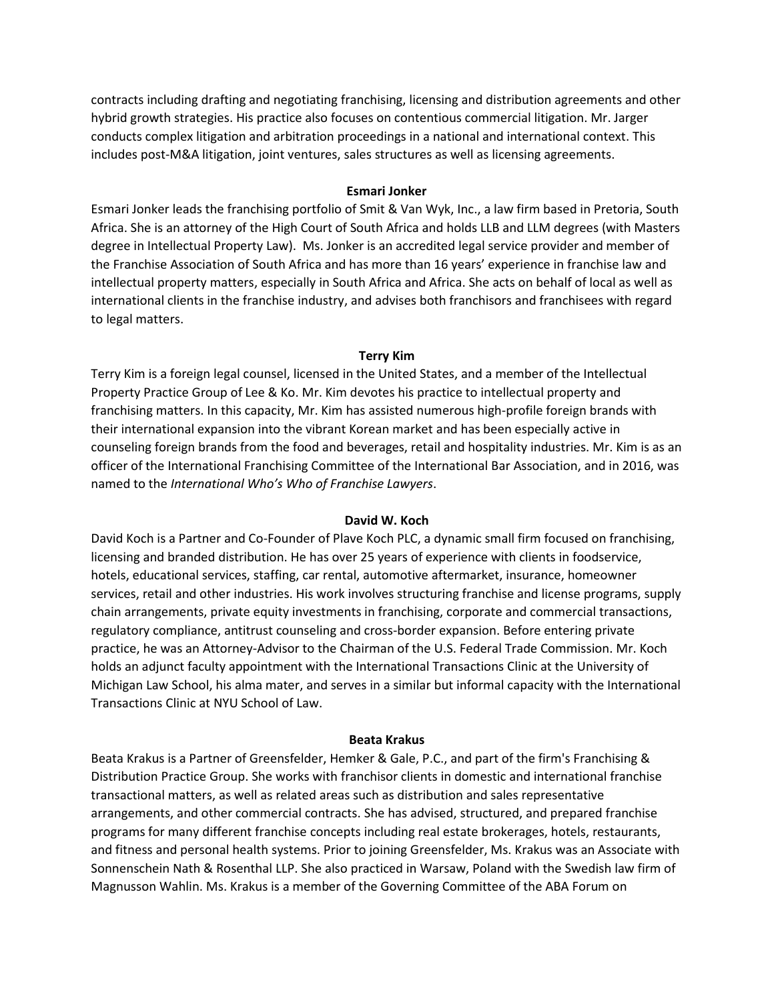contracts including drafting and negotiating franchising, licensing and distribution agreements and other hybrid growth strategies. His practice also focuses on contentious commercial litigation. Mr. Jarger conducts complex litigation and arbitration proceedings in a national and international context. This includes post-M&A litigation, joint ventures, sales structures as well as licensing agreements.

## **Esmari Jonker**

Esmari Jonker leads the franchising portfolio of Smit & Van Wyk, Inc., a law firm based in Pretoria, South Africa. She is an attorney of the High Court of South Africa and holds LLB and LLM degrees (with Masters degree in Intellectual Property Law). Ms. Jonker is an accredited legal service provider and member of the Franchise Association of South Africa and has more than 16 years' experience in franchise law and intellectual property matters, especially in South Africa and Africa. She acts on behalf of local as well as international clients in the franchise industry, and advises both franchisors and franchisees with regard to legal matters.

## **Terry Kim**

Terry Kim is a foreign legal counsel, licensed in the United States, and a member of the Intellectual Property Practice Group of Lee & Ko. Mr. Kim devotes his practice to intellectual property and franchising matters. In this capacity, Mr. Kim has assisted numerous high-profile foreign brands with their international expansion into the vibrant Korean market and has been especially active in counseling foreign brands from the food and beverages, retail and hospitality industries. Mr. Kim is as an officer of the International Franchising Committee of the International Bar Association, and in 2016, was named to the *International Who's Who of Franchise Lawyers*.

## **David W. Koch**

David Koch is a Partner and Co-Founder of Plave Koch PLC, a dynamic small firm focused on franchising, licensing and branded distribution. He has over 25 years of experience with clients in foodservice, hotels, educational services, staffing, car rental, automotive aftermarket, insurance, homeowner services, retail and other industries. His work involves structuring franchise and license programs, supply chain arrangements, private equity investments in franchising, corporate and commercial transactions, regulatory compliance, antitrust counseling and cross-border expansion. Before entering private practice, he was an Attorney-Advisor to the Chairman of the U.S. Federal Trade Commission. Mr. Koch holds an adjunct faculty appointment with the International Transactions Clinic at the University of Michigan Law School, his alma mater, and serves in a similar but informal capacity with the International Transactions Clinic at NYU School of Law.

## **Beata Krakus**

Beata Krakus is a Partner of Greensfelder, Hemker & Gale, P.C., and part of the firm's Franchising & Distribution Practice Group. She works with franchisor clients in domestic and international franchise transactional matters, as well as related areas such as distribution and sales representative arrangements, and other commercial contracts. She has advised, structured, and prepared franchise programs for many different franchise concepts including real estate brokerages, hotels, restaurants, and fitness and personal health systems. Prior to joining Greensfelder, Ms. Krakus was an Associate with Sonnenschein Nath & Rosenthal LLP. She also practiced in Warsaw, Poland with the Swedish law firm of Magnusson Wahlin. Ms. Krakus is a member of the Governing Committee of the ABA Forum on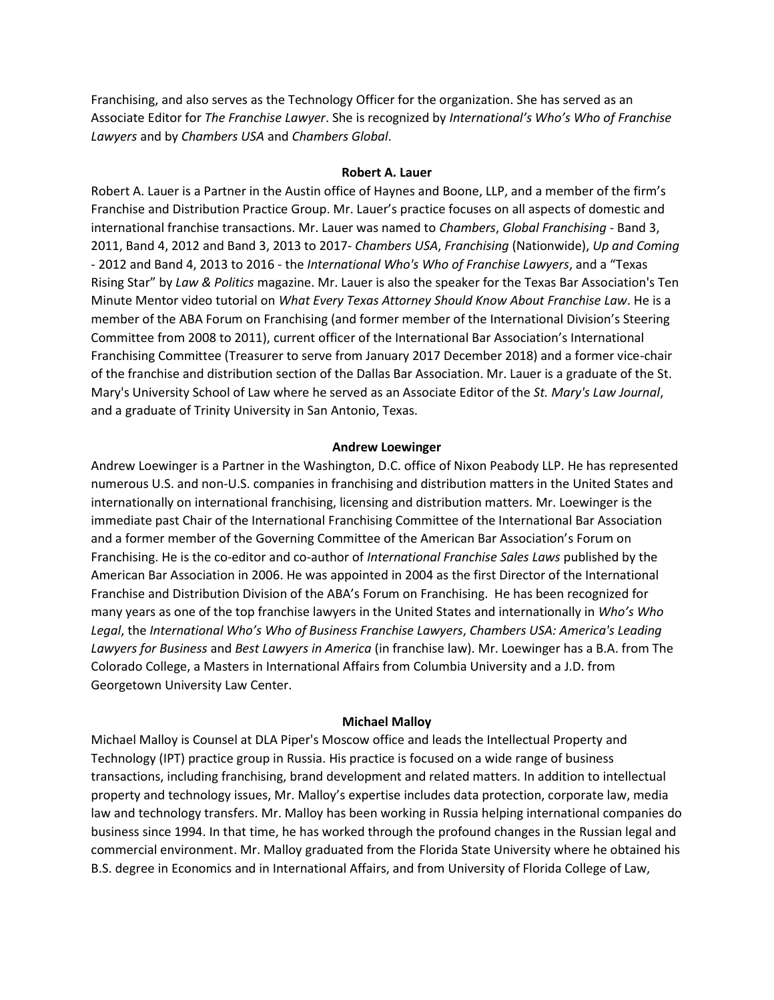Franchising, and also serves as the Technology Officer for the organization. She has served as an Associate Editor for *The Franchise Lawyer*. She is recognized by *International's Who's Who of Franchise Lawyers* and by *Chambers USA* and *Chambers Global*.

## **Robert A. Lauer**

Robert A. Lauer is a Partner in the Austin office of Haynes and Boone, LLP, and a member of the firm's Franchise and Distribution Practice Group. Mr. Lauer's practice focuses on all aspects of domestic and international franchise transactions. Mr. Lauer was named to *Chambers*, *Global Franchising* - Band 3, 2011, Band 4, 2012 and Band 3, 2013 to 2017- *Chambers USA*, *Franchising* (Nationwide), *Up and Coming* - 2012 and Band 4, 2013 to 2016 - the *International Who's Who of Franchise Lawyers*, and a "Texas Rising Star" by *Law & Politics* magazine. Mr. Lauer is also the speaker for the Texas Bar Association's Ten Minute Mentor video tutorial on *What Every Texas Attorney Should Know About Franchise Law*. He is a member of the ABA Forum on Franchising (and former member of the International Division's Steering Committee from 2008 to 2011), current officer of the International Bar Association's International Franchising Committee (Treasurer to serve from January 2017 December 2018) and a former vice-chair of the franchise and distribution section of the Dallas Bar Association. Mr. Lauer is a graduate of the St. Mary's University School of Law where he served as an Associate Editor of the *St. Mary's Law Journal*, and a graduate of Trinity University in San Antonio, Texas.

#### **Andrew Loewinger**

Andrew Loewinger is a Partner in the Washington, D.C. office of Nixon Peabody LLP. He has represented numerous U.S. and non-U.S. companies in franchising and distribution matters in the United States and internationally on international franchising, licensing and distribution matters. Mr. Loewinger is the immediate past Chair of the International Franchising Committee of the International Bar Association and a former member of the Governing Committee of the American Bar Association's Forum on Franchising. He is the co-editor and co-author of *International Franchise Sales Laws* published by the American Bar Association in 2006. He was appointed in 2004 as the first Director of the International Franchise and Distribution Division of the ABA's Forum on Franchising. He has been recognized for many years as one of the top franchise lawyers in the United States and internationally in *Who's Who Legal*, the *International Who's Who of Business Franchise Lawyers*, *Chambers USA: America's Leading Lawyers for Business* and *Best Lawyers in America* (in franchise law). Mr. Loewinger has a B.A. from The Colorado College, a Masters in International Affairs from Columbia University and a J.D. from Georgetown University Law Center.

#### **Michael Malloy**

Michael Malloy is Counsel at DLA Piper's Moscow office and leads the Intellectual Property and Technology (IPT) practice group in Russia. His practice is focused on a wide range of business transactions, including franchising, brand development and related matters. In addition to intellectual property and technology issues, Mr. Malloy's expertise includes data protection, corporate law, media law and technology transfers. Mr. Malloy has been working in Russia helping international companies do business since 1994. In that time, he has worked through the profound changes in the Russian legal and commercial environment. Mr. Malloy graduated from the Florida State University where he obtained his B.S. degree in Economics and in International Affairs, and from University of Florida College of Law,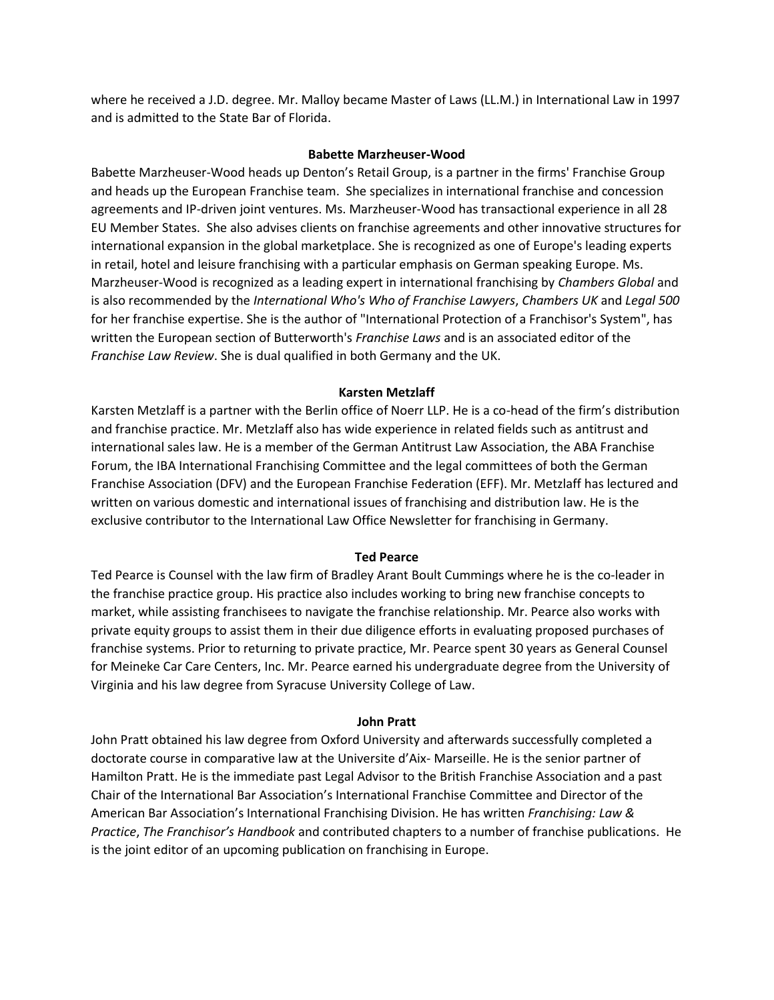where he received a J.D. degree. Mr. Malloy became Master of Laws (LL.M.) in International Law in 1997 and is admitted to the State Bar of Florida.

#### **Babette Marzheuser-Wood**

Babette Marzheuser-Wood heads up Denton's Retail Group, is a partner in the firms' Franchise Group and heads up the European Franchise team. She specializes in international franchise and concession agreements and IP-driven joint ventures. Ms. Marzheuser-Wood has transactional experience in all 28 EU Member States. She also advises clients on franchise agreements and other innovative structures for international expansion in the global marketplace. She is recognized as one of Europe's leading experts in retail, hotel and leisure franchising with a particular emphasis on German speaking Europe. Ms. Marzheuser-Wood is recognized as a leading expert in international franchising by *Chambers Global* and is also recommended by the *International Who's Who of Franchise Lawyers*, *Chambers UK* and *Legal 500* for her franchise expertise. She is the author of "International Protection of a Franchisor's System", has written the European section of Butterworth's *Franchise Laws* and is an associated editor of the *Franchise Law Review*. She is dual qualified in both Germany and the UK.

#### **Karsten Metzlaff**

Karsten Metzlaff is a partner with the Berlin office of Noerr LLP. He is a co-head of the firm's distribution and franchise practice. Mr. Metzlaff also has wide experience in related fields such as antitrust and international sales law. He is a member of the German Antitrust Law Association, the ABA Franchise Forum, the IBA International Franchising Committee and the legal committees of both the German Franchise Association (DFV) and the European Franchise Federation (EFF). Mr. Metzlaff has lectured and written on various domestic and international issues of franchising and distribution law. He is the exclusive contributor to the International Law Office Newsletter for franchising in Germany.

#### **Ted Pearce**

Ted Pearce is Counsel with the law firm of Bradley Arant Boult Cummings where he is the co-leader in the franchise practice group. His practice also includes working to bring new franchise concepts to market, while assisting franchisees to navigate the franchise relationship. Mr. Pearce also works with private equity groups to assist them in their due diligence efforts in evaluating proposed purchases of franchise systems. Prior to returning to private practice, Mr. Pearce spent 30 years as General Counsel for Meineke Car Care Centers, Inc. Mr. Pearce earned his undergraduate degree from the University of Virginia and his law degree from Syracuse University College of Law.

## **John Pratt**

John Pratt obtained his law degree from Oxford University and afterwards successfully completed a doctorate course in comparative law at the Universite d'Aix- Marseille. He is the senior partner of Hamilton Pratt. He is the immediate past Legal Advisor to the British Franchise Association and a past Chair of the International Bar Association's International Franchise Committee and Director of the American Bar Association's International Franchising Division. He has written *Franchising: Law & Practice*, *The Franchisor's Handbook* and contributed chapters to a number of franchise publications. He is the joint editor of an upcoming publication on franchising in Europe.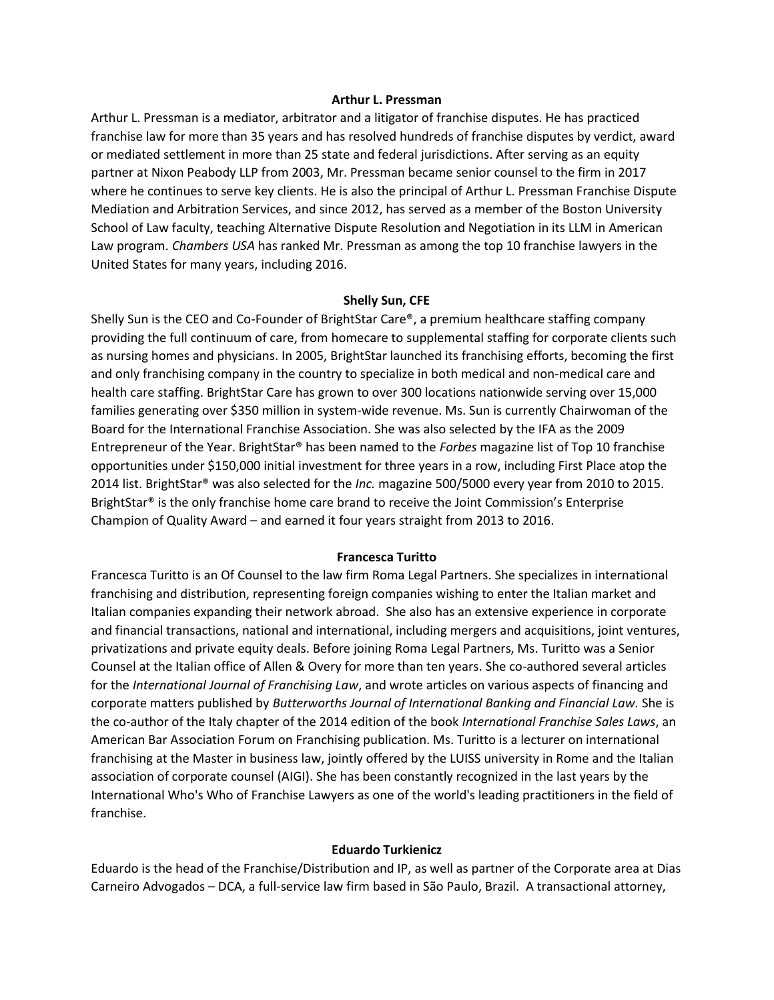#### **Arthur L. Pressman**

Arthur L. Pressman is a mediator, arbitrator and a litigator of franchise disputes. He has practiced franchise law for more than 35 years and has resolved hundreds of franchise disputes by verdict, award or mediated settlement in more than 25 state and federal jurisdictions. After serving as an equity partner at Nixon Peabody LLP from 2003, Mr. Pressman became senior counsel to the firm in 2017 where he continues to serve key clients. He is also the principal of Arthur L. Pressman Franchise Dispute Mediation and Arbitration Services, and since 2012, has served as a member of the Boston University School of Law faculty, teaching Alternative Dispute Resolution and Negotiation in its LLM in American Law program. *Chambers USA* has ranked Mr. Pressman as among the top 10 franchise lawyers in the United States for many years, including 2016.

#### **Shelly Sun, CFE**

Shelly Sun is the CEO and Co-Founder of BrightStar Care®, a premium healthcare staffing company providing the full continuum of care, from homecare to supplemental staffing for corporate clients such as nursing homes and physicians. In 2005, BrightStar launched its franchising efforts, becoming the first and only franchising company in the country to specialize in both medical and non-medical care and health care staffing. BrightStar Care has grown to over 300 locations nationwide serving over 15,000 families generating over \$350 million in system-wide revenue. Ms. Sun is currently Chairwoman of the Board for the International Franchise Association. She was also selected by the IFA as the 2009 Entrepreneur of the Year. BrightStar® has been named to the *Forbes* magazine list of Top 10 franchise opportunities under \$150,000 initial investment for three years in a row, including First Place atop the 2014 list. BrightStar® was also selected for the *Inc.* magazine 500/5000 every year from 2010 to 2015. BrightStar<sup>®</sup> is the only franchise home care brand to receive the Joint Commission's Enterprise Champion of Quality Award – and earned it four years straight from 2013 to 2016.

#### **Francesca Turitto**

Francesca Turitto is an Of Counsel to the law firm Roma Legal Partners. She specializes in international franchising and distribution, representing foreign companies wishing to enter the Italian market and Italian companies expanding their network abroad. She also has an extensive experience in corporate and financial transactions, national and international, including mergers and acquisitions, joint ventures, privatizations and private equity deals. Before joining Roma Legal Partners, Ms. Turitto was a Senior Counsel at the Italian office of Allen & Overy for more than ten years. She co-authored several articles for the *International Journal of Franchising Law*, and wrote articles on various aspects of financing and corporate matters published by *Butterworths Journal of International Banking and Financial Law.* She is the co-author of the Italy chapter of the 2014 edition of the book *International Franchise Sales Laws*, an American Bar Association Forum on Franchising publication. Ms. Turitto is a lecturer on international franchising at the Master in business law, jointly offered by the LUISS university in Rome and the Italian association of corporate counsel (AIGI). She has been constantly recognized in the last years by the International Who's Who of Franchise Lawyers as one of the world's leading practitioners in the field of franchise.

#### **Eduardo Turkienicz**

Eduardo is the head of the Franchise/Distribution and IP, as well as partner of the Corporate area at Dias Carneiro Advogados – DCA, a full-service law firm based in São Paulo, Brazil. A transactional attorney,